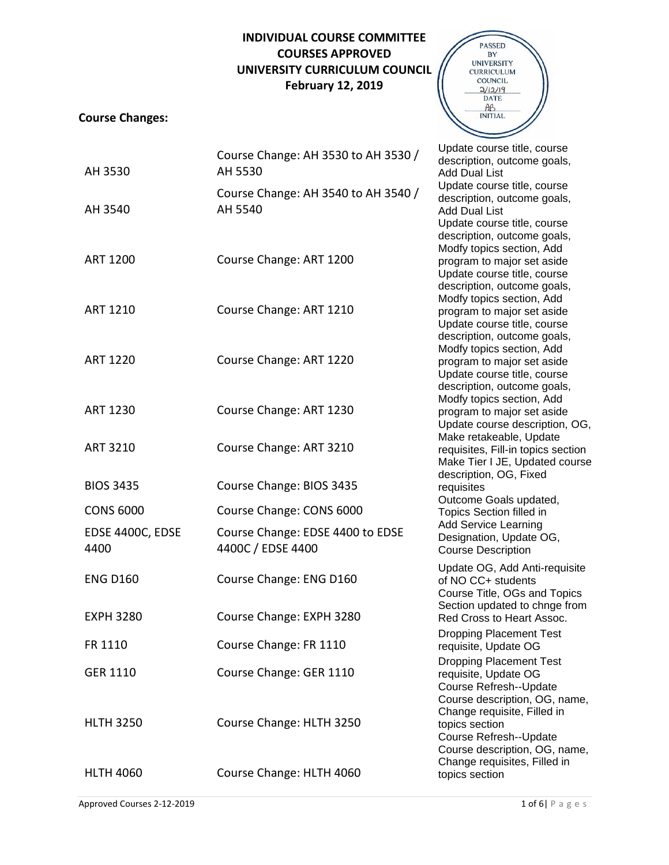## **INDIVIDUAL COURSE COMMITTEE COURSES APPROVED UNIVERSITY CURRICULUM COUNCIL February 12, 2019**

## **Course Changes:**



| AH 3530                  | Course Change: AH 3530 to AH 3530 /<br>AH 5530        | Update course title, course<br>description, outcome goals,<br><b>Add Dual List</b>                                                                                                                                                                                                                                                                                                                                                                                                                                                                                                                                                                                                                                          |
|--------------------------|-------------------------------------------------------|-----------------------------------------------------------------------------------------------------------------------------------------------------------------------------------------------------------------------------------------------------------------------------------------------------------------------------------------------------------------------------------------------------------------------------------------------------------------------------------------------------------------------------------------------------------------------------------------------------------------------------------------------------------------------------------------------------------------------------|
| AH 3540                  | Course Change: AH 3540 to AH 3540 /<br>AH 5540        | Update course title, course<br>description, outcome goals,<br><b>Add Dual List</b><br>Update course title, course<br>description, outcome goals,<br>Modfy topics section, Add<br>program to major set aside<br>Update course title, course<br>description, outcome goals,<br>Modfy topics section, Add<br>program to major set aside<br>Update course title, course<br>description, outcome goals,<br>Modfy topics section, Add<br>program to major set aside<br>Update course title, course<br>description, outcome goals,<br>Modfy topics section, Add<br>program to major set aside<br>Update course description, OG,<br>Make retakeable, Update<br>requisites, Fill-in topics section<br>Make Tier I JE, Updated course |
| <b>ART 1200</b>          | Course Change: ART 1200                               |                                                                                                                                                                                                                                                                                                                                                                                                                                                                                                                                                                                                                                                                                                                             |
| <b>ART 1210</b>          | Course Change: ART 1210                               |                                                                                                                                                                                                                                                                                                                                                                                                                                                                                                                                                                                                                                                                                                                             |
| <b>ART 1220</b>          | Course Change: ART 1220                               |                                                                                                                                                                                                                                                                                                                                                                                                                                                                                                                                                                                                                                                                                                                             |
| <b>ART 1230</b>          | Course Change: ART 1230                               |                                                                                                                                                                                                                                                                                                                                                                                                                                                                                                                                                                                                                                                                                                                             |
| <b>ART 3210</b>          | Course Change: ART 3210                               |                                                                                                                                                                                                                                                                                                                                                                                                                                                                                                                                                                                                                                                                                                                             |
| <b>BIOS 3435</b>         | Course Change: BIOS 3435                              | description, OG, Fixed<br>requisites                                                                                                                                                                                                                                                                                                                                                                                                                                                                                                                                                                                                                                                                                        |
| <b>CONS 6000</b>         | Course Change: CONS 6000                              | Outcome Goals updated,<br>Topics Section filled in<br><b>Add Service Learning</b><br>Designation, Update OG,<br><b>Course Description</b>                                                                                                                                                                                                                                                                                                                                                                                                                                                                                                                                                                                   |
| EDSE 4400C, EDSE<br>4400 | Course Change: EDSE 4400 to EDSE<br>4400C / EDSE 4400 |                                                                                                                                                                                                                                                                                                                                                                                                                                                                                                                                                                                                                                                                                                                             |
| <b>ENG D160</b>          | Course Change: ENG D160                               | Update OG, Add Anti-requisite<br>of NO CC+ students<br>Course Title, OGs and Topics                                                                                                                                                                                                                                                                                                                                                                                                                                                                                                                                                                                                                                         |
| <b>EXPH 3280</b>         | Course Change: EXPH 3280                              | Section updated to chnge from<br>Red Cross to Heart Assoc.<br><b>Dropping Placement Test</b><br>requisite, Update OG<br><b>Dropping Placement Test</b><br>requisite, Update OG<br>Course Refresh--Update<br>Course description, OG, name,                                                                                                                                                                                                                                                                                                                                                                                                                                                                                   |
| FR 1110                  | Course Change: FR 1110                                |                                                                                                                                                                                                                                                                                                                                                                                                                                                                                                                                                                                                                                                                                                                             |
| <b>GER 1110</b>          | Course Change: GER 1110                               |                                                                                                                                                                                                                                                                                                                                                                                                                                                                                                                                                                                                                                                                                                                             |
| <b>HLTH 3250</b>         | Course Change: HLTH 3250                              | Change requisite, Filled in<br>topics section<br>Course Refresh--Update<br>Course description, OG, name,                                                                                                                                                                                                                                                                                                                                                                                                                                                                                                                                                                                                                    |
| <b>HLTH 4060</b>         | Course Change: HLTH 4060                              | Change requisites, Filled in<br>topics section                                                                                                                                                                                                                                                                                                                                                                                                                                                                                                                                                                                                                                                                              |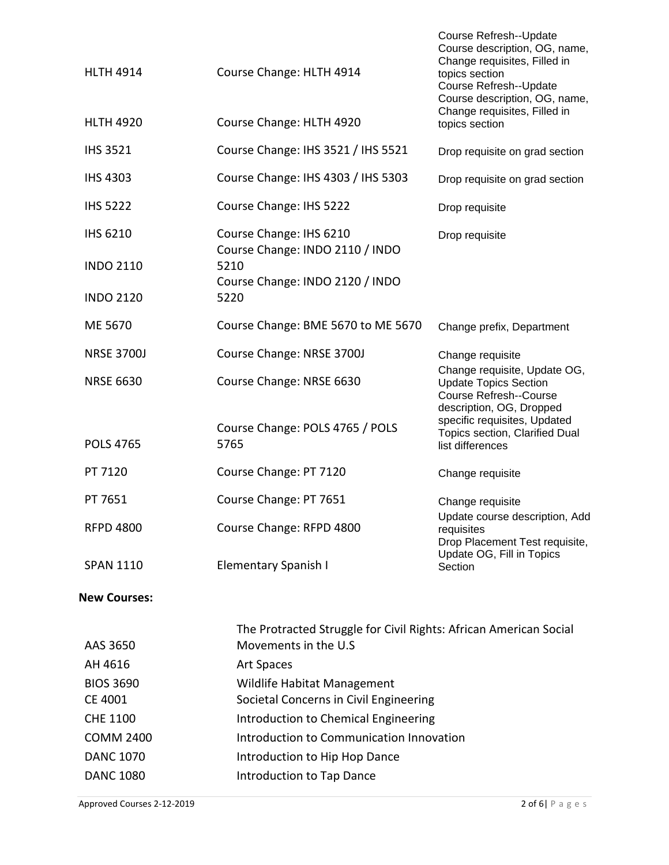| <b>HLTH 4914</b>            | Course Change: HLTH 4914                                                                  | Course Refresh--Update<br>Course description, OG, name,<br>Change requisites, Filled in<br>topics section<br>Course Refresh--Update<br>Course description, OG, name, |
|-----------------------------|-------------------------------------------------------------------------------------------|----------------------------------------------------------------------------------------------------------------------------------------------------------------------|
| <b>HLTH 4920</b>            | Course Change: HLTH 4920                                                                  | Change requisites, Filled in<br>topics section                                                                                                                       |
| <b>IHS 3521</b>             | Course Change: IHS 3521 / IHS 5521                                                        | Drop requisite on grad section                                                                                                                                       |
| <b>IHS 4303</b>             | Course Change: IHS 4303 / IHS 5303                                                        | Drop requisite on grad section                                                                                                                                       |
| <b>IHS 5222</b>             | Course Change: IHS 5222                                                                   | Drop requisite                                                                                                                                                       |
| <b>IHS 6210</b>             | Course Change: IHS 6210<br>Course Change: INDO 2110 / INDO<br>5210                        | Drop requisite                                                                                                                                                       |
| <b>INDO 2110</b>            | Course Change: INDO 2120 / INDO                                                           |                                                                                                                                                                      |
| <b>INDO 2120</b>            | 5220                                                                                      |                                                                                                                                                                      |
| ME 5670                     | Course Change: BME 5670 to ME 5670                                                        | Change prefix, Department                                                                                                                                            |
| <b>NRSE 3700J</b>           | Course Change: NRSE 3700J                                                                 | Change requisite                                                                                                                                                     |
| <b>NRSE 6630</b>            | Course Change: NRSE 6630                                                                  | Change requisite, Update OG,<br><b>Update Topics Section</b><br><b>Course Refresh--Course</b><br>description, OG, Dropped<br>specific requisites, Updated            |
| <b>POLS 4765</b>            | Course Change: POLS 4765 / POLS<br>5765                                                   | Topics section, Clarified Dual<br>list differences                                                                                                                   |
| PT 7120                     | Course Change: PT 7120                                                                    | Change requisite                                                                                                                                                     |
| PT 7651                     | Course Change: PT 7651                                                                    | Change requisite                                                                                                                                                     |
| <b>RFPD 4800</b>            | Course Change: RFPD 4800                                                                  | Update course description, Add<br>requisites<br>Drop Placement Test requisite,                                                                                       |
| <b>SPAN 1110</b>            | <b>Elementary Spanish I</b>                                                               | Update OG, Fill in Topics<br>Section                                                                                                                                 |
| <b>New Courses:</b>         |                                                                                           |                                                                                                                                                                      |
| AAS 3650                    | The Protracted Struggle for Civil Rights: African American Social<br>Movements in the U.S |                                                                                                                                                                      |
| AH 4616                     | Art Spaces                                                                                |                                                                                                                                                                      |
| <b>BIOS 3690</b><br>CE 4001 | Wildlife Habitat Management<br>Societal Concerns in Civil Engineering                     |                                                                                                                                                                      |
|                             |                                                                                           |                                                                                                                                                                      |

- CHE 1100 **Introduction to Chemical Engineering**
- COMM 2400 Introduction to Communication Innovation
- DANC 1070 **Introduction to Hip Hop Dance**

DANC 1080 **Introduction to Tap Dance**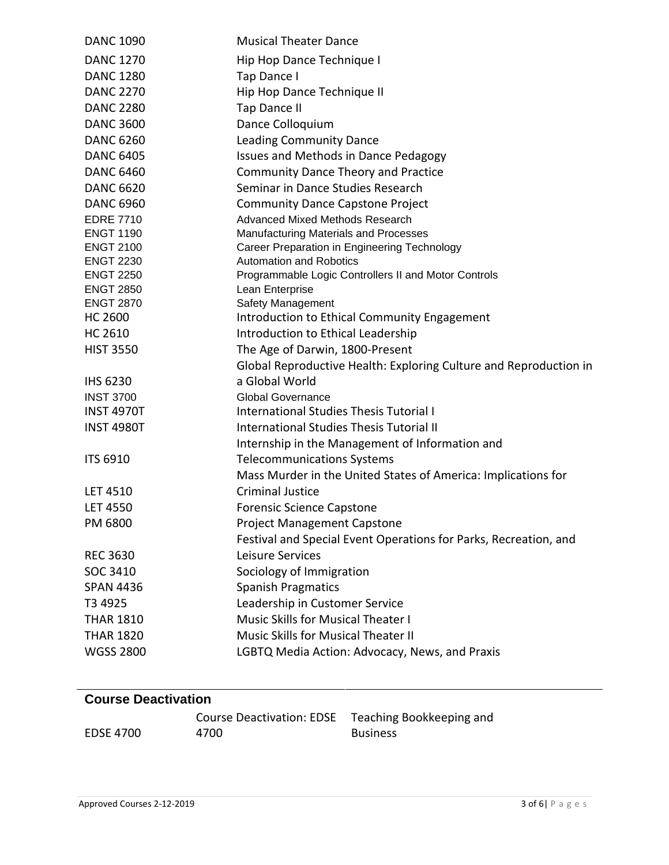| <b>DANC 1090</b>  | <b>Musical Theater Dance</b>                                      |
|-------------------|-------------------------------------------------------------------|
| <b>DANC 1270</b>  | Hip Hop Dance Technique I                                         |
| <b>DANC 1280</b>  | Tap Dance I                                                       |
| <b>DANC 2270</b>  | Hip Hop Dance Technique II                                        |
| <b>DANC 2280</b>  | Tap Dance II                                                      |
| <b>DANC 3600</b>  | Dance Colloquium                                                  |
| <b>DANC 6260</b>  | <b>Leading Community Dance</b>                                    |
| <b>DANC 6405</b>  | Issues and Methods in Dance Pedagogy                              |
| <b>DANC 6460</b>  | <b>Community Dance Theory and Practice</b>                        |
| <b>DANC 6620</b>  | Seminar in Dance Studies Research                                 |
| <b>DANC 6960</b>  | <b>Community Dance Capstone Project</b>                           |
| <b>EDRE 7710</b>  | Advanced Mixed Methods Research                                   |
| <b>ENGT 1190</b>  | Manufacturing Materials and Processes                             |
| <b>ENGT 2100</b>  | Career Preparation in Engineering Technology                      |
| <b>ENGT 2230</b>  | <b>Automation and Robotics</b>                                    |
| <b>ENGT 2250</b>  | Programmable Logic Controllers II and Motor Controls              |
| <b>ENGT 2850</b>  | Lean Enterprise                                                   |
| <b>ENGT 2870</b>  | Safety Management                                                 |
| <b>HC 2600</b>    | Introduction to Ethical Community Engagement                      |
| <b>HC 2610</b>    | Introduction to Ethical Leadership                                |
| <b>HIST 3550</b>  | The Age of Darwin, 1800-Present                                   |
|                   | Global Reproductive Health: Exploring Culture and Reproduction in |
| <b>IHS 6230</b>   | a Global World                                                    |
| <b>INST 3700</b>  | <b>Global Governance</b>                                          |
| <b>INST 4970T</b> | <b>International Studies Thesis Tutorial I</b>                    |
| <b>INST 4980T</b> | <b>International Studies Thesis Tutorial II</b>                   |
|                   | Internship in the Management of Information and                   |
| <b>ITS 6910</b>   | <b>Telecommunications Systems</b>                                 |
|                   | Mass Murder in the United States of America: Implications for     |
| <b>LET 4510</b>   | <b>Criminal Justice</b>                                           |
| <b>LET 4550</b>   | <b>Forensic Science Capstone</b>                                  |
| PM 6800           | <b>Project Management Capstone</b>                                |
|                   | Festival and Special Event Operations for Parks, Recreation, and  |
| <b>REC 3630</b>   | Leisure Services                                                  |
| SOC 3410          | Sociology of Immigration                                          |
| <b>SPAN 4436</b>  | <b>Spanish Pragmatics</b>                                         |
| T3 4925           | Leadership in Customer Service                                    |
| <b>THAR 1810</b>  | Music Skills for Musical Theater I                                |
| <b>THAR 1820</b>  | <b>Music Skills for Musical Theater II</b>                        |
| <b>WGSS 2800</b>  | LGBTQ Media Action: Advocacy, News, and Praxis                    |
|                   |                                                                   |

## **Course Deactivation**

|                  | Course Deactivation: EDSE Teaching Bookkeeping and |                 |
|------------------|----------------------------------------------------|-----------------|
| <b>EDSE 4700</b> | 4700                                               | <b>Business</b> |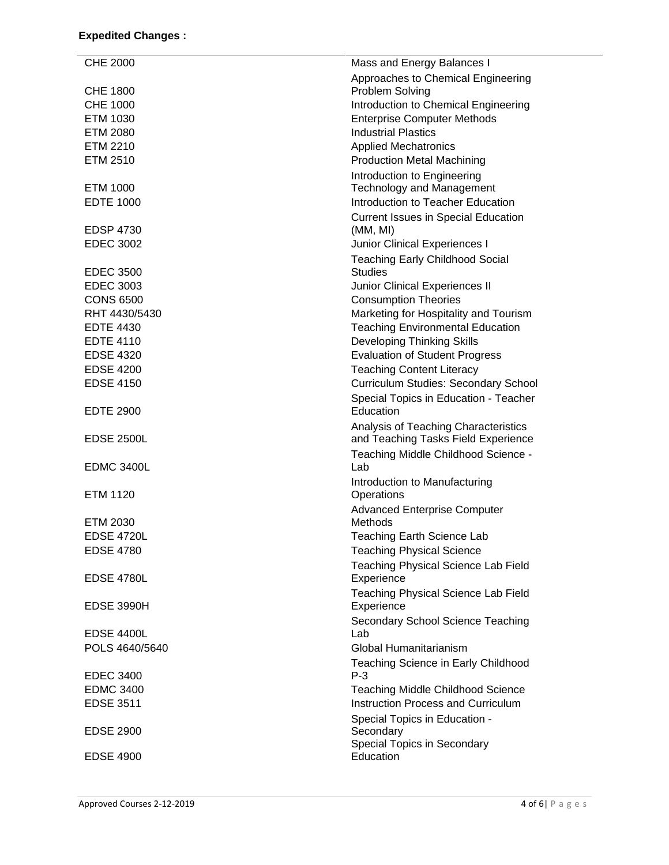| <b>CHE 2000</b>   | Mass and Energy Balances I                                                  |
|-------------------|-----------------------------------------------------------------------------|
|                   | Approaches to Chemical Engineering                                          |
| <b>CHE 1800</b>   | Problem Solving                                                             |
| <b>CHE 1000</b>   | Introduction to Chemical Engineering                                        |
| ETM 1030          | <b>Enterprise Computer Methods</b>                                          |
| <b>ETM 2080</b>   | <b>Industrial Plastics</b>                                                  |
| <b>ETM 2210</b>   | <b>Applied Mechatronics</b>                                                 |
| ETM 2510          | <b>Production Metal Machining</b>                                           |
|                   | Introduction to Engineering                                                 |
| ETM 1000          | <b>Technology and Management</b>                                            |
| <b>EDTE 1000</b>  | Introduction to Teacher Education                                           |
|                   | <b>Current Issues in Special Education</b>                                  |
| <b>EDSP 4730</b>  | (MM, MI)                                                                    |
| <b>EDEC 3002</b>  | Junior Clinical Experiences I                                               |
|                   | <b>Teaching Early Childhood Social</b>                                      |
| <b>EDEC 3500</b>  | <b>Studies</b>                                                              |
| <b>EDEC 3003</b>  | Junior Clinical Experiences II                                              |
| <b>CONS 6500</b>  | <b>Consumption Theories</b>                                                 |
| RHT 4430/5430     | Marketing for Hospitality and Tourism                                       |
| <b>EDTE 4430</b>  | <b>Teaching Environmental Education</b>                                     |
| <b>EDTE 4110</b>  | <b>Developing Thinking Skills</b>                                           |
| <b>EDSE 4320</b>  | <b>Evaluation of Student Progress</b>                                       |
| <b>EDSE 4200</b>  |                                                                             |
|                   | <b>Teaching Content Literacy</b>                                            |
| <b>EDSE 4150</b>  | <b>Curriculum Studies: Secondary School</b>                                 |
| <b>EDTE 2900</b>  | Special Topics in Education - Teacher<br>Education                          |
| <b>EDSE 2500L</b> | Analysis of Teaching Characteristics<br>and Teaching Tasks Field Experience |
|                   | Teaching Middle Childhood Science -                                         |
| <b>EDMC 3400L</b> | Lab                                                                         |
|                   | Introduction to Manufacturing                                               |
| <b>ETM 1120</b>   | Operations                                                                  |
|                   | <b>Advanced Enterprise Computer</b>                                         |
| ETM 2030          | Methods                                                                     |
| <b>EDSE 4720L</b> | <b>Teaching Earth Science Lab</b>                                           |
| <b>EDSE 4780</b>  | <b>Teaching Physical Science</b>                                            |
|                   | Teaching Physical Science Lab Field                                         |
| <b>EDSE 4780L</b> | Experience                                                                  |
|                   | Teaching Physical Science Lab Field                                         |
| <b>EDSE 3990H</b> | Experience                                                                  |
|                   | Secondary School Science Teaching                                           |
| <b>EDSE 4400L</b> | Lab                                                                         |
| POLS 4640/5640    | Global Humanitarianism                                                      |
|                   | Teaching Science in Early Childhood                                         |
| <b>EDEC 3400</b>  | $P-3$                                                                       |
| <b>EDMC 3400</b>  | <b>Teaching Middle Childhood Science</b>                                    |
| <b>EDSE 3511</b>  | Instruction Process and Curriculum                                          |
|                   | Special Topics in Education -                                               |
| <b>EDSE 2900</b>  | Secondary                                                                   |
|                   | Special Topics in Secondary                                                 |
| <b>EDSE 4900</b>  | Education                                                                   |
|                   |                                                                             |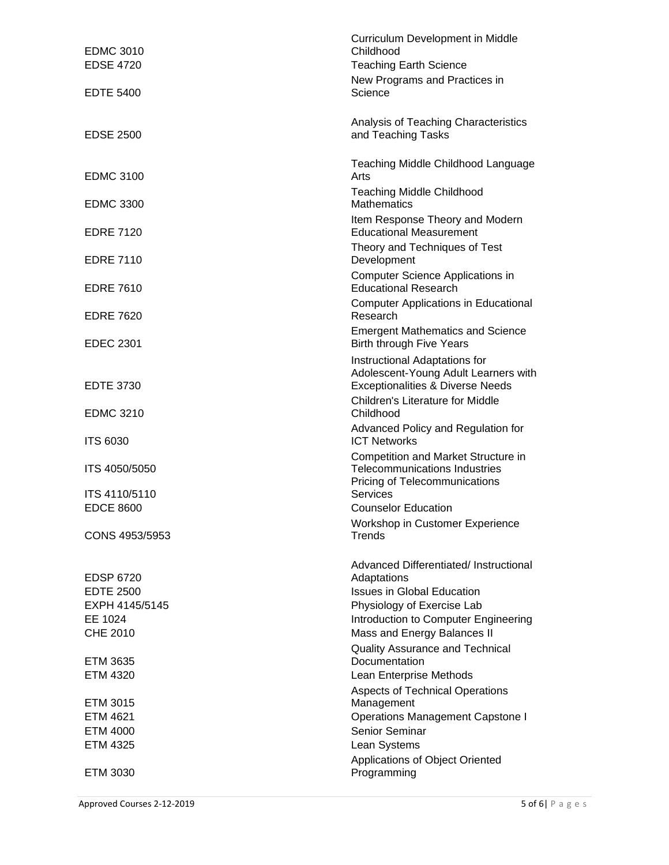| <b>EDMC 3010</b><br><b>EDSE 4720</b> | Curriculum Development in Middle<br>Childhood<br><b>Teaching Earth Science</b>                                       |
|--------------------------------------|----------------------------------------------------------------------------------------------------------------------|
| <b>EDTE 5400</b>                     | New Programs and Practices in<br>Science                                                                             |
| <b>EDSE 2500</b>                     | Analysis of Teaching Characteristics<br>and Teaching Tasks                                                           |
| <b>EDMC 3100</b>                     | Teaching Middle Childhood Language<br>Arts                                                                           |
| <b>EDMC 3300</b>                     | <b>Teaching Middle Childhood</b><br><b>Mathematics</b>                                                               |
| <b>EDRE 7120</b>                     | Item Response Theory and Modern<br><b>Educational Measurement</b>                                                    |
| <b>EDRE 7110</b>                     | Theory and Techniques of Test<br>Development                                                                         |
| <b>EDRE 7610</b>                     | Computer Science Applications in<br><b>Educational Research</b>                                                      |
| <b>EDRE 7620</b>                     | <b>Computer Applications in Educational</b><br>Research                                                              |
| <b>EDEC 2301</b>                     | <b>Emergent Mathematics and Science</b><br><b>Birth through Five Years</b>                                           |
| <b>EDTE 3730</b>                     | Instructional Adaptations for<br>Adolescent-Young Adult Learners with<br><b>Exceptionalities &amp; Diverse Needs</b> |
| <b>EDMC 3210</b>                     | <b>Children's Literature for Middle</b><br>Childhood                                                                 |
| <b>ITS 6030</b>                      | Advanced Policy and Regulation for<br><b>ICT Networks</b>                                                            |
| ITS 4050/5050                        | Competition and Market Structure in<br><b>Telecommunications Industries</b><br>Pricing of Telecommunications         |
| ITS 4110/5110<br><b>EDCE 8600</b>    | Services<br><b>Counselor Education</b>                                                                               |
| CONS 4953/5953                       | Workshop in Customer Experience<br><b>Trends</b>                                                                     |
|                                      | Advanced Differentiated/ Instructional                                                                               |
| <b>EDSP 6720</b><br><b>EDTE 2500</b> | Adaptations<br><b>Issues in Global Education</b>                                                                     |
| EXPH 4145/5145                       | Physiology of Exercise Lab                                                                                           |
| EE 1024                              | Introduction to Computer Engineering                                                                                 |
| CHE 2010                             | Mass and Energy Balances II                                                                                          |
|                                      | <b>Quality Assurance and Technical</b><br>Documentation                                                              |
| ETM 3635<br>ETM 4320                 | Lean Enterprise Methods                                                                                              |
|                                      | <b>Aspects of Technical Operations</b>                                                                               |
| ETM 3015                             | Management                                                                                                           |
| ETM 4621                             | <b>Operations Management Capstone I</b>                                                                              |
| ETM 4000                             | Senior Seminar                                                                                                       |
| ETM 4325                             | Lean Systems                                                                                                         |
| ETM 3030                             | Applications of Object Oriented<br>Programming                                                                       |